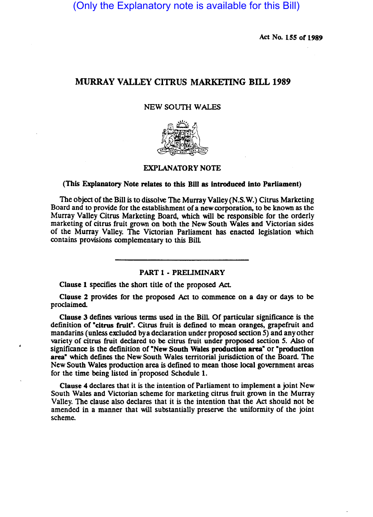(Only the Explanatory note is available for this Bill)

Act No. 155 of 1989

# MURRAY VALLEY CITRUS MARKETING BILL 1989

## NEW SOUTH WALES



# EXPLANATORY NOTE

#### (This Explanatory Note relates to this Bill as introduced into Parliament)

The Object of the Bill is to dissolve The Murray Valley (N.S. W.) Citrus Marketing Board and to provide for the establishment of a new corporation, to be known as the Murray Valley Citrus Marketing Board, which will be responsible for the orderly marketing of citrus fruit grown on both the New South Wales and Victorian sides of the Murray Valley. The Victorian Parliament has enacted legislation which contains prOvisions complementary to this BilL

#### PART 1 • PREUMINARY

Clause 1 specifies the short title of the proposed Act.

Clause 2 provides for the proposed Act to commence on a day or days to be proclaimed.

Clause 3 defines various terms used in the BilL Of panicular significance is the definition of "citrus fruit". Citrus fruit is defined to mean oranges, grapefruit and mandarins (unless excluded by a declaration under proposed section 5) and any other variety of citrus fruit declared to be citrus fruit under proposed section 5. Also of Significance is the definition of "New South Wales production area" or "production area" which defines the New South Wales territorial jurisdiction of the Board. The New South Wales production area is defined to mean those local government areas for the time being listed in' proposed Schedule 1.

Clause 4 declares that it is the intention of Parliament to implement a joint New South Wales and Victorian scheme for marketing citrus fruit grown in the Murray Valley. The clause also declares that it is the intention that the Act should not be amended in a manner that will substantially preserve the uniformity of the joint scheme.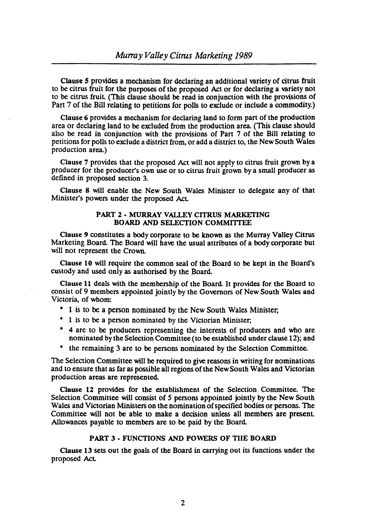Clause *5* provides a mechanism for declaring an additional variety of citrus fruit to be citrus fruit for the purposes of the proposed Act or for declaring a variety not to be citrus fruit (This clause should be read in conjunction with the provisions of Part 7 of the Bill relating to petitions for polls to exclude or include a commodity.)

Clause 6 provides a mechanism for declaring land to form part of the production area or declaring land to be excluded from the production area. (This clause should also be read in conjunction with the provisions of Part 7 of the Bill relating to petitions for polls to exclude a district from, or add a district to, the New South Wales production area.)

Clause 7 provides that the proposed Act will not apply to citrus fruit grown by a producer for the producer's own use or to citrus fruit grown by a small producer as defined in proposed section 3.

Clause 8 will enable the New South Wales Minister to delegate any of that Minister's powers under the proposed Act

# PART 2 - MURRAY VALLEY CITRUS MARKETING BOARD AND SELECTION COMMITTEE

Clause 9 constitutes a body corporate to be known as the Murray Valley Citrus Marketing Board. The Board will have the usual attributes of a body corporate but will not represent the Crown.

Clause 10 will require the common seal of the Board to be kept in the Board's custody and used only as authorised by the Board.

Clause 11 deals with the membership of the Board. It provides for the Board to consist of 9 members appointed jointly by the Governors of New South Wales and Victoria, of whom:

- 1 is to be a person nominated by the New South Wales Minister;
- 1 is to be a person nominated by the Victorian Minister;
- 4 are to be producers representing the interests of producers and who are nominated by the Selection Committee (to be established under clause 12); and
- the remaining 3 are to be persons nominated by the Selection Committee.

The Selection Committee will be required to give reasons in writing for nominations and to ensure that as far as possible all regions ofthe New South Wales and Victorian production areas are represented.

Clause 12 provides for the establishment of the Selection Committee. The Selection Committee will consist of 5 persons appointed jointly by the New South Wales and Victorian Ministers on the nomination of specified bodies or persons. The Committee will not be able to make a decision unless all members are present Allowances payable to members are to be paid by the Board.

### PART 3 - FUNCTIONS AND POWERS OF TilE BOARD

Clause 13 sets out the goals of the Board in carrying out its functions under the proposed Act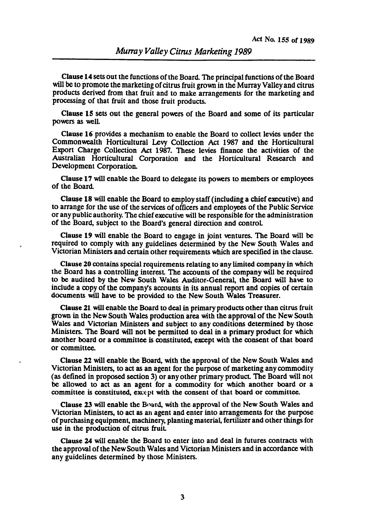Clause 14 sets out the functions of the Board. The principal functions of the Board will be to promote the marketing of citrus fruit grown in the Murray Valley and citrus products derived from that fruit and to make arrangements for the marketing and processing of that fruit and those fruit products.

Clause IS sets out the general powers of the Board and some of its particular powers as well

Clause 16 provides a mechanism to enable the Board to collect levies under the Commonwealth Horticultural Levy Collection Act 1987 and the Horticultural Export Charge Collection Act 1987. These levies finance the activities of the Australian Horticultural Corporation and the Horticultural Research and Development Corporation.

Clause 17 will enable the Board to delegate its powers to members or employees of the Board.

Clause 18 will enable the Board to employ staff (including a chief executive) and to arrange for the use of the services of officers and employees of the Public Service or any public authority. The chief executive will be responsible for the administration of the Board, subject to the Board's general direction and controL

Clause 19 will enable the Board to engage in joint ventures. The Board will be required to comply with any guidelines determined by the New South Wales and Victorian Ministers and certain other requirements which are specified in the clause.

Clause 20 contains special requirements relating to any limited company in which the Board has a controlling interest The accounts of the company will be required to be audited by the New South Wales Auditor-General, the Board will have to include a copy of the company's accounts in its annual report and copies of certain documents will have to be provided to the New South Wales Treasurer.

Clause 21 will enable the Board to deal in primary products other than citrus fruit grown in the New South Wales production area with the approval of the New South Wales and Victorian Ministers and SUbject to any conditions determined by those Ministers. The Board will not be permitted to deal in a primary product for which another board or a committee is constituted, except with the consent of that board or committee.

Clause 22 will enable the Board, with the approval of the New South Wales and Victorian Ministers, to act as an agent for the purpose of marketing any commodity (as defined in proposed section 3) or any other primary product The Board will not be allowed to act as an agent for a commodity for which another board or a committee is constituted, except with the consent of that board or committee.

Clause 23 will enable the Board, with the approval of the New South Wales and Victorian Ministers, to act as an agent and enter into arrangements for the purpose of purchasing equipment, maChinery, planting material, fertilizer and other things for use in the production of citrus fruit

Clause 24 will enable the Board to enter into and deal in futures contracts with the approval ofthe New South Wales and Victorian Ministers and in accordance with any guidelines determined by those Ministers.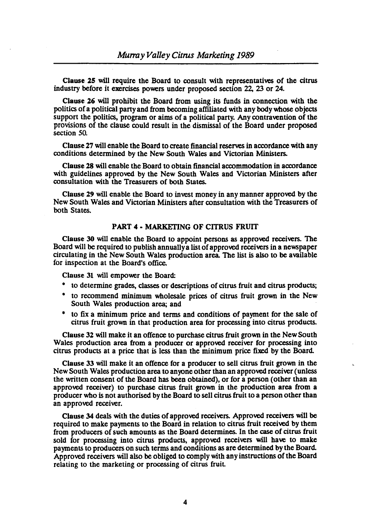Clause 2S will require the Board to consult with representatives of the citrus industry before it exercises powers under proposed section 22, 23 or 24.

Clause 26 will prohibit the Board from using its funds in connection with the politics of a political party and from becoming affiliated with any body whose objects support the politics, program or aims of a political party. Any contravention of the provisions of the clause could result in the dismissal of the Board under proposed section 50.

Clause 27 will enable the Board to create financial reserves in accordance with any conditions determined by the New South Wales and Victorian Ministers.

Clause 28 will enable the Board to obtain financial accommodation in accordance with guidelines approved by the New South Wales and Victorian Ministers after consultation with the Treasurers of both States.

Clause 29· will enable the Board to invest money in any manner approved by the New South Wales and Victorian Ministers after consultation with the Treasurers of both States.

## PART 4 • MARKETING OF CITRUS FRUIT

Clause 30 will enable the Board to appoint persons as approved receivers. The Board will be required to publish annually a list of approved receivers in a newspaper circulating in the New South Wales production area. The list is also to be available for inspection at the Board's office.

Clause 31 will empower the Board:

- to determine grades, classes or descriptions of citrus fruit and citrus products;
- to recommend minimum wholesale prices of citrus fruit grown in the New South Wales production area; and
- to fix a minimum price and terms and conditions of payment for the sale of citrus fruit grown in that production area for processing into citrus products.

Clause 32 will make it an offence to purchase citrus fruit grown in the New South Wales production area from a producer or approved receiver for processing into citrus products at a price that is less than the minimum price fixed by the Board.

Clause 33 will make it an offence for a producer to sell citrus fruit grown in the New South Wales production area to anyone other than an approved receiver (unless the written consent of the Board has been Obtained), or for a person (other than an approved receiver) to purchase citrus fruit grown in the production area from a producer who is not authorised by the Board to sell citrus fruit to a person other than an approved receiver.

Clause 34 deals with the duties of approved receivers. Approved receivers will be required to make payments to the Board in relation to citrus fruit received by them from producers of such amounts as the Board determines. In the case of citrus fruit sold for processing into citrus products, approved receivers will have to make payments to producers on such terms and conditions as are determined by the Board. Approved receivers will also be obliged to comply with any instructions of the Board relating to the marketing or processing of citrus fruit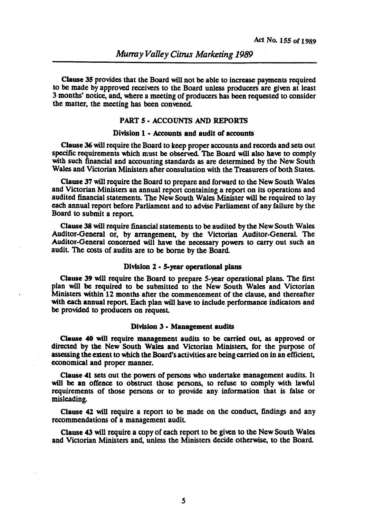Clause 3S provides that the Board will not be able to increase payments required to be made by approved receivers to the Board unless producers are given at least 3 months' notice, and, where a meeting of producers has been requested to consider the matter, the meeting has been convened.

# PART s· ACCOUNTS AND REPORTS

#### Division 1 - Accounts and audit of accounts

Clause 36 will require the Board to keep proper accounts and records and sets out specific requirements which must be observed. The Board will also have to comply with such financial and accounting standards as are determined by the New South Wales and Victorian Ministers after consultation with the Treasurers of both States.

Clause 37 will require the Board to prepare and forward to the New South Wales and Victorian Ministers an annual report containing a report on its operations and audited financial statements. The New South Wales Minister will be required to lay each annual report before Parliament and to advise Parliament of any failure by the Board to submit a report

Clause 38 will require financial statements to be audited by the New South Wales Auditor·General or, by arrangement, by the Victorian Auditor-General The Auditor-General concerned will have the necessary powers to carry out such an audit The costs of audits are to be borne by the Board

#### Division 2 • 5-year operational plans

Clause 39 will require the Board to prepare S-year operational plans. The first plan will be required to be submitted to the New South Wales and Victorian Ministers within 12 months after the commencement of the clause, and thereafter with each annual report. Each plan will have to include performance indicators and be provided to producers on request

# Division 3 • Management audits

Clause 40 will require management audits to be carried out, as approved or directed by the New South Wales and Victorian Ministers, for the purpose of assessing the extent to which the Board's activities are being carried on in an efficient, economical and proper manner.

Clause 41 sets out the powers of persons who undertake management audits. It will be an offence to obstruct those persons, to refuse to comply with lawful requirements of those persons or to provide any information that is false or misleading.

Clause 42 will require a report to be made on the conduct, findings and any recommendations of a management audit

Clause 43 will require a copy of each report to be given to the New South Wales and Victorian Ministers and, unless the Ministers decide otherwise, to the Board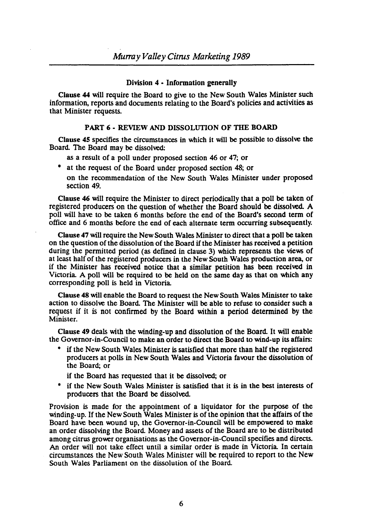### Division 4 • Information generally

Clause 44 will require the Board to give to the New South Wales Minister such information, reports and documents relating to the Board's policies and activities as that Minister requests.

### PART 6 • REVIEW AND DISSOLUTION OF THE BOARD

Clause 4S specifies the circumstances in which it will be possible to dissolve the Board. The Board may be dissolved:

- as a result of a poll under proposed section 46 or 47; or
- at the request of the Board under proposed section 48; or
	- on the recommendation of the New South Wales Minister under proposed section 49.

Clause 46 will require the Minister to direct periodically that a poll be taken of registered producers on the question of whether the Board should be dissolved. A poll will have to be taken 6 months before the end of the Board's second term of office and 6 months before the end of each alternate term occurring subsequently.

Clause 47 will require the New South Wales Minister to direct that a poll be taken on the question of the dissolution of the Board if the Minister has received a petition during the permitted period (as defmed in clause 3) which represents the views of at least half of the registered producers in the New South Wales production area, or if the Minister has received notice that a similar petition has been received in Victoria. A poll will be required to be held on the same day as that on which any corresponding poll is held in Victoria.

Clause 48 will enable the Board to request the New South Wales Minister to take action to dissolve the Board. The Minister will be able to refuse to consider such a request if it is not confirmed by the Board within a period determined by the Minister.

Clause 49 deals with the winding-up and dissolution of the Board. It will enable the Governor-in-Council to make an order to direct the Board to wind-up its affairs:

• if the New South Wales Minister is satisfied that more than half the registered producers at polls in New South Wales and Victoria favour the dissolution of the Board; or

if the Board has requested that it be dissolved; or

if the New South Wales Minister is satisfied that it is in the best interests of producers that the Board be dissolved.

Provision is made for the appointment of a liquidator for the purpose of the winding-up. If the New South Wales Minister is of the opinion that the affairs of the Board have been wound up, the Governor-in-Council will be empowered to make an order dissolving the Board. Money and assets of the Board are to be distributed among citrus grower organisations as the Governor-in-Council specifies and directs. An order will not take effect until a similar order is made in Victoria. In certain circumstances the New South Wales Minister will be required to report to the New South Wales Parliament on the dissolution of the Board.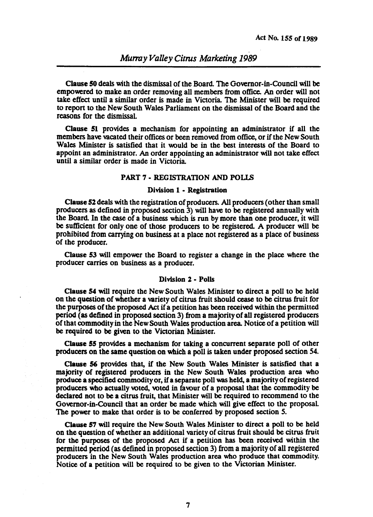Clause SO deals with the dismissal of the Board. The Governor-in-Council will be empowered to make an order removing all members from office. An order will not take effect until a similar order is made in Victoria. The Minister will be required to report to the New South Wales Parliament on the dismissal of the Board and the reasons for the dismissal

Clause 51 provides a mechanism for appointing an administrator if all the members have vacated their offices or been removed from office, or if the New South Wales Minister is satisfied that it would be in the best interests of the Board to appoint an administrator. An order appointing an administrator will not take effect until a similar order is made in Victoria.

### PART 7 - REGISTRATION AND POLLS

# Division 1 • Registration

Clause 52 deals with the registration of producers. All producers (other than small producers as defined in proposed section 3) will have to be registered annually with the Board. In the case of a business which is run by more than one producer, it will be sufficient for only one of those producers to be registered. A producer will be prohibited from carrying on business at a place not registered as a place of business of the producer.

Clause 53 will empower the Board to register a change in the place where the producer carries on business as a producer.

### Division 2 • Polls

Clause 54 will require the New South Wales Minister to direct a poll to be held on the question of whether a variety of citrus fruit should cease to be citrus fruit for the purposes of the proposed Act if a petition has been received within the permitted period (as defined in proposed section 3) from a majorityofall registered producers of that commodity in the New South Wales production area. Notice of a petition will be required to be given to the Victorian Minister.

Clause 55 provides a mechanism for taking a concurrent separate poll of other producers on the same question on which a poll is taken under proposed section 54.

Clause 56 provides that, if the New South Wales Minister is satisfied that a majority of registered producers in the New South Wales production area who produce a specified commodity or, ita separate poll was held, a majority of registered producers who actually voted, voted in favour of a proposal that the commodity be declared not to be a citrus fruit, that Minister will be required to recommend to the Governor-in-Council that an order be made which will give effect to the proposal The power to make that order is to be conferred by proposed section 5.

Clause 57 will require the New South Wales Minister to direct a poll to be held on the question of whether an additional variety of citrus fruit should be citrus fruit for the purposes of the proposed Act if a petition has been received within the permitted period (as defined in proposed section 3) from a majority of all registered producers in the New South Wales production area who produce that commodity. Notice of a petition will be required to be given to the Victorian Minister.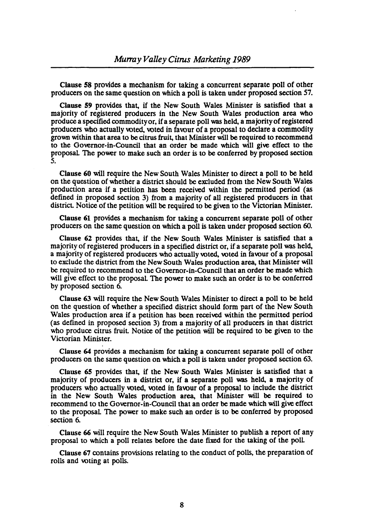Clause 58 provides a mechanism for taking a concurrent separate poll of other producers on the same question on which a poll is taken under proposed section 57.

Clause 59 provides that, if the New South Wales Minister is satisfied that a majority of registered producers in the New South Wales production area who produce a specified commodity or, if a separate poll was held, a majority of registered producers who actually voted, voted in favour of a proposal to declare a commodity grown within that area to be citrus fruit, that Minister will be required to recommend to the Governor-in-Council that an order be made which will give effect to the proposal The power to make such an order is to be conferred by proposed section 5.

Clause 60 will require the New South Wales Minister to direct a poll to be held on the question of whether a district should be excluded from the New South Wales production area if a petition has been received within the permitted period (as defined in proposed section 3) from a majority of all registered producers in that district Notice of the petition will be required to be given to the Victorian Minister.

Clause 61 provides a mechanism for taking a concurrent separate poll of other producers on the same question on which a poll is taken under proposed section 60.

Clause 62 provides that, if the New South Wales Minister is satisfied that a majority of registered producers in a specified district or, if a separate poll was held, a majority of registered producers who actually voted, voted in favour of a proposal to exclude the district from the New South Wales production area, that Minister will be required to recommend to the Governor-in-Council that an order be made which will give effect to the proposal The power to make such an order is to be conferred by proposed section 6.

Clause 63 will require the New South Wales Minister to direct a poll to be held on the question of whether a specified district should form part of the New South Wales production area if a petition has been received within the permitted period (as defined in proposed section 3) from a majority of all producers in that district who produce citrus fruit. Notice of the petition will be required to be given to the Victorian Minister.

Clause 64 provides a mechanism for taking a concurrent separate poll of other producers on the same question on which a poll is taken under proposed section 63.

Clause 6S provides that, if the New South Wales Minister is satisfied that a majority of producers in a district or, if a separate poll was held, a majority of producers who actually voted, voted in favour of a proposal to include the district in the New South Wales production area, that Minister will be required to recommend to the Governor-in-Council that an order be made which will give effect to the proposal The power to make such an order is to be conferred by proposed section 6.

Clause 66 will require the New South Wales Minister to publish a report of any proposal to which a poll relates before the date fixed for the taking of the poll

Clause 67 contains provisions relating to the conduct of polls, the preparation of rolls and voting at polls.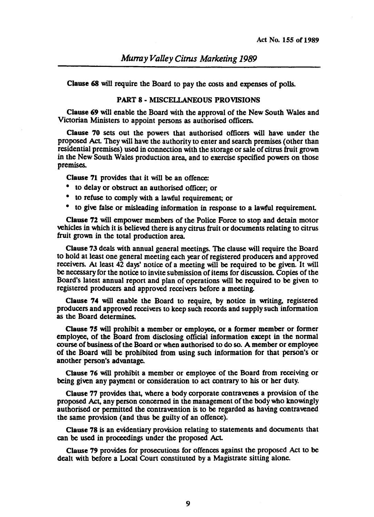Clause 68 will require the Board to pay the costs and expenses of polls.

#### PART 8· MISCELLANEOUS PROVISIONS

Clause 69 will enable the Board with the approval of the New South Wales and Victorian Ministers to appoint persons as authorised officers.

Clause 70 sets out the powers that authorised officers will have under the proposed Act. They will have the authority to enter and search premises (other than residential premises) used in connection with the storage or sale of citrus fruit grown in the New South Wales production area, and to exercise specified powers on those premises.

Clause 71 provides that it will be an offence:

- to delay or obstruct an authorised officer, or
- to refuse to comply with a lawful requirement; or
- to give false or misleading information in response to a lawful requirement

Clause 72 will empower members of the Police Force to stop and detain motor vehicles in which it is believed there is any citrus fruit or documents relating to citrus fruit grown in the total production area.

Clause 73 deals with annual general meetings. The clause will require the Board to hold at least one general meeting each year of registered producers and approved receivers. At least 42 days' notice of a meeting will be required to be given. It will be necessary for the notice to invite submission of items for discussion. Copies of the Board's latest annual report and plan of operations will be required to be given to registered producers and approved receivers before a meeting.

Clause 74 will enable the Board to require, by notice in writing, registered producers and approved receivers to keep such records and supply such information as the Board determines.

Clause 7S will prohibit a member or employee, or a former member or former employee, of the Board from disclosing official information except in the normal course of business of the Board or when authorised to do so. A member or employee of the Board will be prohibited from USing such information for that person's or another person's advantage.

Clause 76 will prohibit a member or employee of the Board from receiving or being given any payment or consideration to act contrary to his or her duty.

Clause 77 provides that, where a body corporate contravenes a provision of the proposed Act, any person concerned in the management of the body who knowingly authorised or permitted the contravention is to be regarded as having contravened the same provision (and thus be guilty of an offence).

Clause 78 is an evidentiary provision relating to statements and documents that can be used in proceedings under the proposed Act.

Clause 79 provides for prosecutions for offences against the proposed Act to be dealt with before a Local Court constituted by a Magistrate sitting alone.